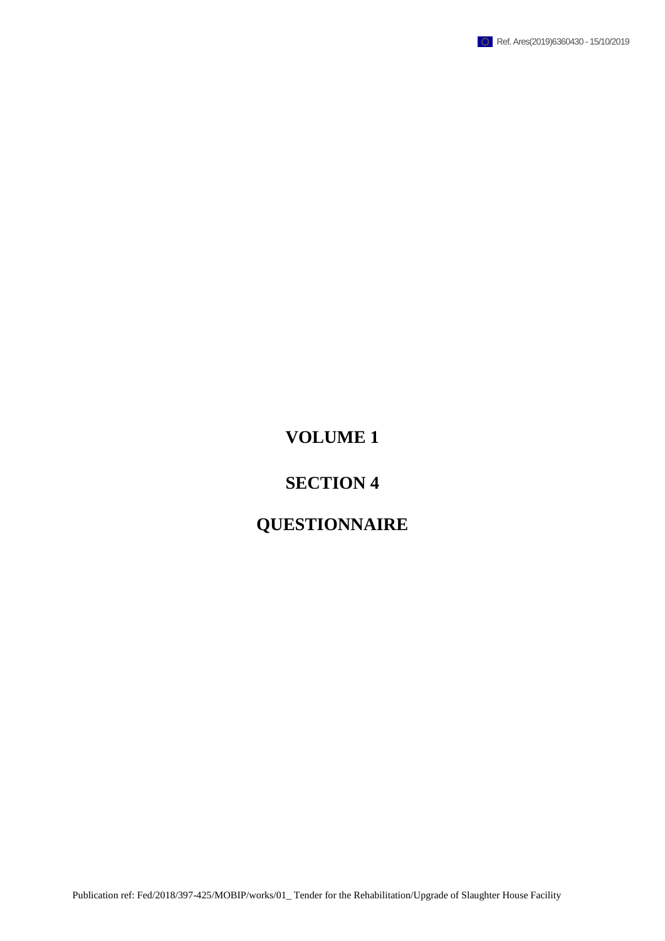

## **VOLUME 1**

### **SECTION 4**

# **QUESTIONNAIRE**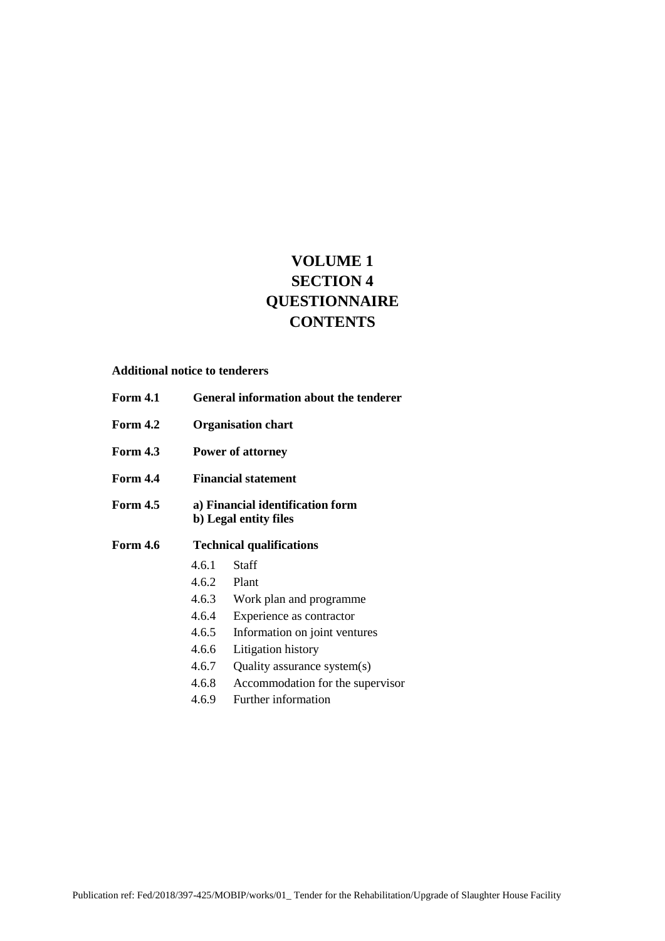### **VOLUME 1 SECTION 4 QUESTIONNAIRE CONTENTS**

#### **Additional notice to tenderers**

- **Form 4.1 General information about the tenderer Form 4.2 Organisation chart Form 4.3 Power of attorney Form 4.4 Financial statement Form 4.5 a) Financial identification form b) Legal entity files Form 4.6 Technical qualifications** 4.6.1 Staff 4.6.2 Plant 4.6.3 Work plan and programme 4.6.4 Experience as contractor 4.6.5 Information on joint ventures
	- 4.6.6 Litigation history
	- 4.6.7 Quality assurance system(s)
	-
	- 4.6.8 Accommodation for the supervisor
	- 4.6.9 Further information